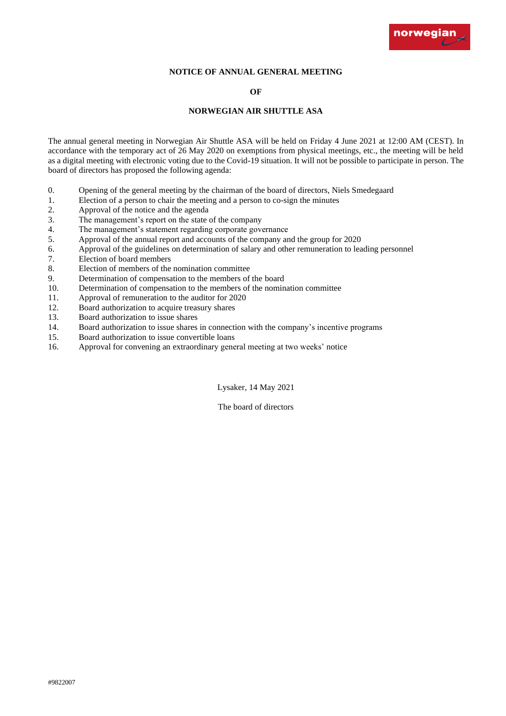

# **NOTICE OF ANNUAL GENERAL MEETING**

## **OF**

## **NORWEGIAN AIR SHUTTLE ASA**

The annual general meeting in Norwegian Air Shuttle ASA will be held on Friday 4 June 2021 at 12:00 AM (CEST). In accordance with the temporary act of 26 May 2020 on exemptions from physical meetings, etc., the meeting will be held as a digital meeting with electronic voting due to the Covid-19 situation. It will not be possible to participate in person. The board of directors has proposed the following agenda:

- 0. Opening of the general meeting by the chairman of the board of directors, Niels Smedegaard
- 1. Election of a person to chair the meeting and a person to co-sign the minutes
- 2. Approval of the notice and the agenda
- 3. The management's report on the state of the company
- 4. The management's statement regarding corporate governance
- 5. Approval of the annual report and accounts of the company and the group for 2020
- 6. Approval of the guidelines on determination of salary and other remuneration to leading personnel
- 7. Election of board members
- 8. Election of members of the nomination committee
- 9. Determination of compensation to the members of the board
- 10. Determination of compensation to the members of the nomination committee
- 11. Approval of remuneration to the auditor for 2020
- 12. Board authorization to acquire treasury shares
- 13. Board authorization to issue shares
- 14. Board authorization to issue shares in connection with the company's incentive programs
- 15. Board authorization to issue convertible loans
- 16. Approval for convening an extraordinary general meeting at two weeks' notice

Lysaker, 14 May 2021

The board of directors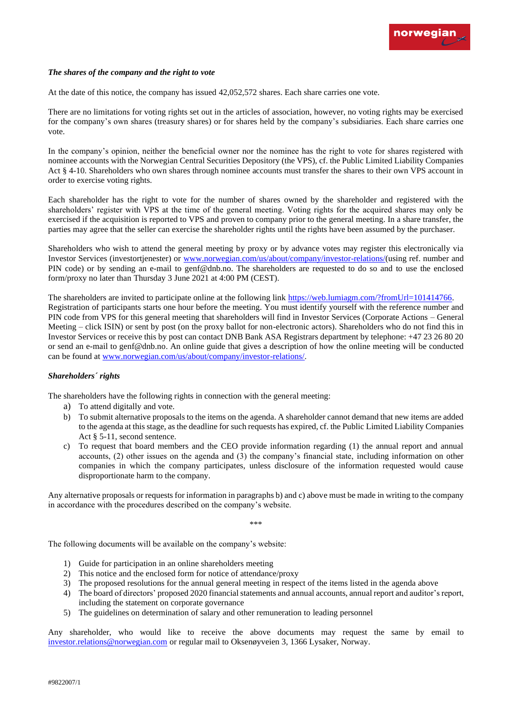# *The shares of the company and the right to vote*

At the date of this notice, the company has issued 42,052,572 shares. Each share carries one vote.

There are no limitations for voting rights set out in the articles of association, however, no voting rights may be exercised for the company's own shares (treasury shares) or for shares held by the company's subsidiaries. Each share carries one vote.

In the company's opinion, neither the beneficial owner nor the nominee has the right to vote for shares registered with nominee accounts with the Norwegian Central Securities Depository (the VPS), cf. the Public Limited Liability Companies Act § 4-10. Shareholders who own shares through nominee accounts must transfer the shares to their own VPS account in order to exercise voting rights.

Each shareholder has the right to vote for the number of shares owned by the shareholder and registered with the shareholders' register with VPS at the time of the general meeting. Voting rights for the acquired shares may only be exercised if the acquisition is reported to VPS and proven to company prior to the general meeting. In a share transfer, the parties may agree that the seller can exercise the shareholder rights until the rights have been assumed by the purchaser.

Shareholders who wish to attend the general meeting by proxy or by advance votes may register this electronically via Investor Services (investortjenester) or [www.norwegian.com/us/about/company/investor-relations/\(](http://www.norwegian.com/us/about/company/investor-relations/)using ref. number and PIN code) or by sending an e-mail to genf@dnb.no. The shareholders are requested to do so and to use the enclosed form/proxy no later than Thursday 3 June 2021 at 4:00 PM (CEST).

The shareholders are invited to participate online at the following link [https://web.lumiagm.com/?fromUrl=101414766.](https://web.lumiagm.com/?fromUrl=101414766) Registration of participants starts one hour before the meeting. You must identify yourself with the reference number and PIN code from VPS for this general meeting that shareholders will find in Investor Services (Corporate Actions – General Meeting – click ISIN) or sent by post (on the proxy ballot for non-electronic actors). Shareholders who do not find this in Investor Services or receive this by post can contact DNB Bank ASA Registrars department by telephone: +47 23 26 80 20 or send an e-mail to genf@dnb.no. An online guide that gives a description of how the online meeting will be conducted can be found at [www.norwegian.com/us/about/company/investor-relations/.](http://www.norwegian.com/us/about/company/investor-relations/)

# *Shareholders´ rights*

The shareholders have the following rights in connection with the general meeting:

- a) To attend digitally and vote.
- b) To submit alternative proposals to the items on the agenda. A shareholder cannot demand that new items are added to the agenda at this stage, as the deadline for such requests has expired, cf. the Public Limited Liability Companies Act § 5-11, second sentence.
- c) To request that board members and the CEO provide information regarding (1) the annual report and annual accounts, (2) other issues on the agenda and (3) the company's financial state, including information on other companies in which the company participates, unless disclosure of the information requested would cause disproportionate harm to the company.

Any alternative proposals or requests for information in paragraphs b) and c) above must be made in writing to the company in accordance with the procedures described on the company's website.

\*\*\*

The following documents will be available on the company's website:

- 1) Guide for participation in an online shareholders meeting
- 2) This notice and the enclosed form for notice of attendance/proxy
- 3) The proposed resolutions for the annual general meeting in respect of the items listed in the agenda above
- 4) The board of directors' proposed 2020 financial statements and annual accounts, annual report and auditor's report, including the statement on corporate governance
- 5) The guidelines on determination of salary and other remuneration to leading personnel

[Any shareholder, who would l](mailto:investor.relations@norwegian.com)ike to receive the above documents may request the same by email to investor.relations@norwegian.com or regular mail to Oksenøyveien 3, 1366 Lysaker, Norway.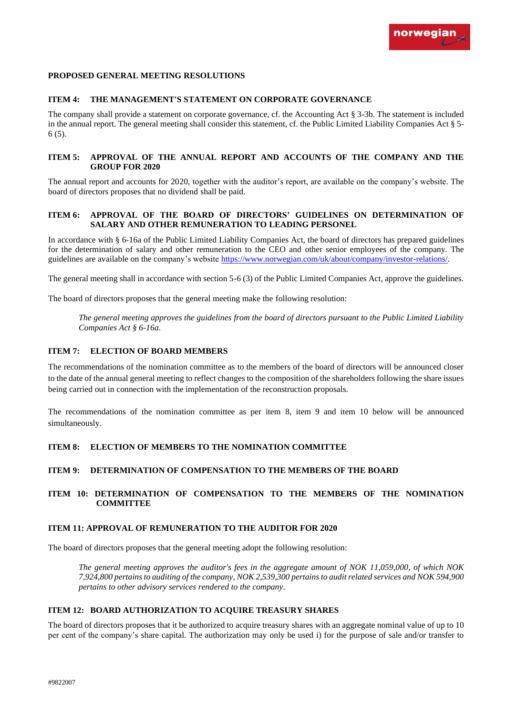### **PROPOSED GENERAL MEETING RESOLUTIONS**

# **ITEM 4: THE MANAGEMENT'S STATEMENT ON CORPORATE GOVERNANCE**

The company shall provide a statement on corporate governance, cf. the Accounting Act § 3-3b. The statement is included in the annual report. The general meeting shall consider this statement, cf. the Public Limited Liability Companies Act § 5- 6 (5).

# **ITEM 5: APPROVAL OF THE ANNUAL REPORT AND ACCOUNTS OF THE COMPANY AND THE GROUP FOR 2020**

The annual report and accounts for 2020, together with the auditor's report, are available on the company's website. The board of directors proposes that no dividend shall be paid.

### **ITEM 6: APPROVAL OF THE BOARD OF DIRECTORS' GUIDELINES ON DETERMINATION OF SALARY AND OTHER REMUNERATION TO LEADING PERSONEL**

In accordance with § 6-16a of the Public Limited Liability Companies Act, the board of directors has prepared guidelines for the determination of salary and other remuneration to the CEO and other senior employees of the company. The guidelines are available on the company's website [https://www.norwegian.com/uk/about/company/investor-relations/.](https://www.norwegian.com/uk/about/company/investor-relations/)

The general meeting shall in accordance with section 5-6 (3) of the Public Limited Companies Act, approve the guidelines.

The board of directors proposes that the general meeting make the following resolution:

*The general meeting approves the guidelines from the board of directors pursuant to the Public Limited Liability Companies Act § 6-16a.*

## **ITEM 7: ELECTION OF BOARD MEMBERS**

The recommendations of the nomination committee as to the members of the board of directors will be announced closer to the date of the annual general meeting to reflect changes to the composition of the shareholders following the share issues being carried out in connection with the implementation of the reconstruction proposals.

The recommendations of the nomination committee as per item 8, item 9 and item 10 below will be announced simultaneously.

## **ITEM 8: ELECTION OF MEMBERS TO THE NOMINATION COMMITTEE**

#### **ITEM 9: DETERMINATION OF COMPENSATION TO THE MEMBERS OF THE BOARD**

# **ITEM 10: DETERMINATION OF COMPENSATION TO THE MEMBERS OF THE NOMINATION COMMITTEE**

# **ITEM 11: APPROVAL OF REMUNERATION TO THE AUDITOR FOR 2020**

The board of directors proposes that the general meeting adopt the following resolution:

*The general meeting approves the auditor's fees in the aggregate amount of NOK 11,059,000, of which NOK 7,924,800 pertains to auditing of the company, NOK 2,539,300 pertains to audit related services and NOK 594,900 pertains to other advisory services rendered to the company.*

### **ITEM 12: BOARD AUTHORIZATION TO ACQUIRE TREASURY SHARES**

The board of directors proposes that it be authorized to acquire treasury shares with an aggregate nominal value of up to 10 per cent of the company's share capital. The authorization may only be used i) for the purpose of sale and/or transfer to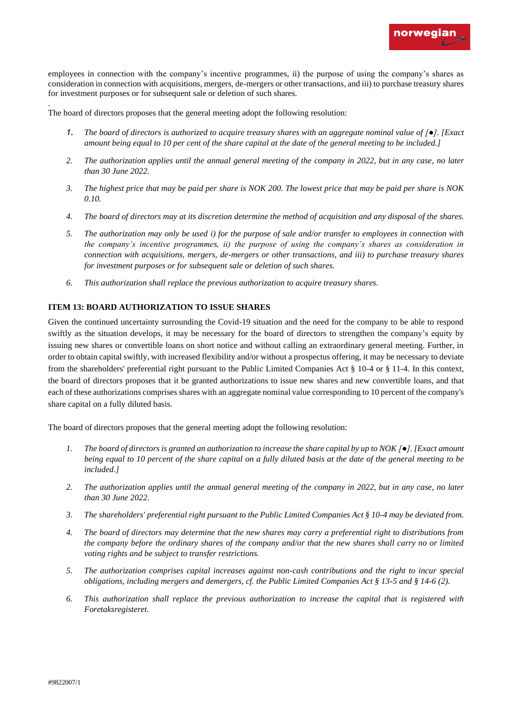

employees in connection with the company's incentive programmes, ii) the purpose of using the company's shares as consideration in connection with acquisitions, mergers, de-mergers or other transactions, and iii) to purchase treasury shares for investment purposes or for subsequent sale or deletion of such shares.

The board of directors proposes that the general meeting adopt the following resolution:

- *1. The board of directors is authorized to acquire treasury shares with an aggregate nominal value of [●]. [Exact amount being equal to 10 per cent of the share capital at the date of the general meeting to be included.]*
- *2. The authorization applies until the annual general meeting of the company in 2022, but in any case, no later than 30 June 2022.*
- *3. The highest price that may be paid per share is NOK 200. The lowest price that may be paid per share is NOK 0.10.*
- *4. The board of directors may at its discretion determine the method of acquisition and any disposal of the shares.*
- *5. The authorization may only be used i) for the purpose of sale and/or transfer to employees in connection with the company's incentive programmes, ii) the purpose of using the company's shares as consideration in connection with acquisitions, mergers, de-mergers or other transactions, and iii) to purchase treasury shares for investment purposes or for subsequent sale or deletion of such shares.*
- *6. This authorization shall replace the previous authorization to acquire treasury shares.*

# **ITEM 13: BOARD AUTHORIZATION TO ISSUE SHARES**

Given the continued uncertainty surrounding the Covid-19 situation and the need for the company to be able to respond swiftly as the situation develops, it may be necessary for the board of directors to strengthen the company's equity by issuing new shares or convertible loans on short notice and without calling an extraordinary general meeting. Further, in order to obtain capital swiftly, with increased flexibility and/or without a prospectus offering, it may be necessary to deviate from the shareholders' preferential right pursuant to the Public Limited Companies Act § 10-4 or § 11-4. In this context, the board of directors proposes that it be granted authorizations to issue new shares and new convertible loans, and that each of these authorizations comprises shares with an aggregate nominal value corresponding to 10 percent of the company's share capital on a fully diluted basis.

The board of directors proposes that the general meeting adopt the following resolution:

- *1. The board of directors is granted an authorization to increase the share capital by up to NOK [●]. [Exact amount being equal to 10 percent of the share capital on a fully diluted basis at the date of the general meeting to be included.]*
- *2. The authorization applies until the annual general meeting of the company in 2022, but in any case, no later than 30 June 2022.*
- *3. The shareholders' preferential right pursuant to the Public Limited Companies Act § 10-4 may be deviated from.*
- *4. The board of directors may determine that the new shares may carry a preferential right to distributions from the company before the ordinary shares of the company and/or that the new shares shall carry no or limited voting rights and be subject to transfer restrictions.*
- *5. The authorization comprises capital increases against non-cash contributions and the right to incur special obligations, including mergers and demergers, cf. the Public Limited Companies Act § 13-5 and § 14-6 (2).*
- *6. This authorization shall replace the previous authorization to increase the capital that is registered with Foretaksregisteret.*

.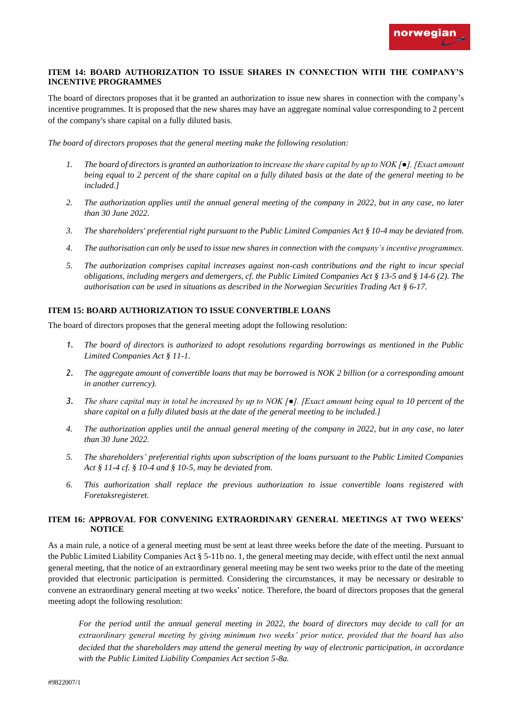# **ITEM 14: BOARD AUTHORIZATION TO ISSUE SHARES IN CONNECTION WITH THE COMPANY'S INCENTIVE PROGRAMMES**

The board of directors proposes that it be granted an authorization to issue new shares in connection with the company's incentive programmes. It is proposed that the new shares may have an aggregate nominal value corresponding to 2 percent of the company's share capital on a fully diluted basis.

*The board of directors proposes that the general meeting make the following resolution:* 

- *1. The board of directors is granted an authorization to increase the share capital by up to NOK [●]. [Exact amount being equal to 2 percent of the share capital on a fully diluted basis at the date of the general meeting to be included.]*
- *2. The authorization applies until the annual general meeting of the company in 2022, but in any case, no later than 30 June 2022.*
- *3. The shareholders' preferential right pursuant to the Public Limited Companies Act § 10-4 may be deviated from.*
- *4. The authorisation can only be used to issue new shares in connection with the company's incentive programmes.*
- *5. The authorization comprises capital increases against non-cash contributions and the right to incur special obligations, including mergers and demergers, cf. the Public Limited Companies Act § 13-5 and § 14-6 (2). The authorisation can be used in situations as described in the Norwegian Securities Trading Act § 6-17.*

# **ITEM 15: BOARD AUTHORIZATION TO ISSUE CONVERTIBLE LOANS**

The board of directors proposes that the general meeting adopt the following resolution:

- *1. The board of directors is authorized to adopt resolutions regarding borrowings as mentioned in the Public Limited Companies Act § 11-1.*
- *2. The aggregate amount of convertible loans that may be borrowed is NOK 2 billion (or a corresponding amount in another currency).*
- *3. The share capital may in total be increased by up to NOK [●]. [Exact amount being equal to 10 percent of the share capital on a fully diluted basis at the date of the general meeting to be included.]*
- *4. The authorization applies until the annual general meeting of the company in 2022, but in any case, no later than 30 June 2022.*
- *5. The shareholders' preferential rights upon subscription of the loans pursuant to the Public Limited Companies Act § 11-4 cf. § 10-4 and § 10-5, may be deviated from.*
- *6. This authorization shall replace the previous authorization to issue convertible loans registered with Foretaksregisteret.*

# **ITEM 16: APPROVAL FOR CONVENING EXTRAORDINARY GENERAL MEETINGS AT TWO WEEKS' NOTICE**

As a main rule, a notice of a general meeting must be sent at least three weeks before the date of the meeting. Pursuant to the Public Limited Liability Companies Act § 5-11b no. 1, the general meeting may decide, with effect until the next annual general meeting, that the notice of an extraordinary general meeting may be sent two weeks prior to the date of the meeting provided that electronic participation is permitted. Considering the circumstances, it may be necessary or desirable to convene an extraordinary general meeting at two weeks' notice. Therefore, the board of directors proposes that the general meeting adopt the following resolution:

*For the period until the annual general meeting in 2022, the board of directors may decide to call for an extraordinary general meeting by giving minimum two weeks' prior notice, provided that the board has also decided that the shareholders may attend the general meeting by way of electronic participation, in accordance with the Public Limited Liability Companies Act section 5-8a.*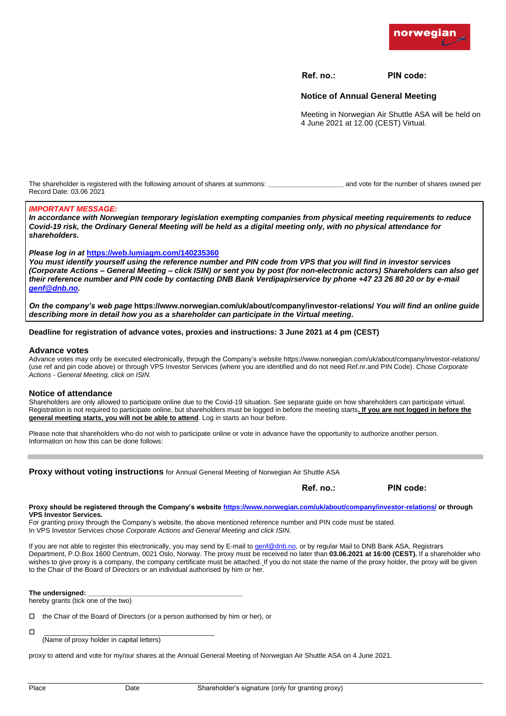

**Ref. no.: PIN code:**

# **Notice of Annual General Meeting**

Meeting in Norwegian Air Shuttle ASA will be held on 4 June 2021 at 12.00 (CEST) Virtual.

The shareholder is registered with the following amount of shares at summons: *all and vote for the number of shares owned per* Record Date: 03.06 2021

# *IMPORTANT MESSAGE:*

*In accordance with Norwegian temporary legislation exempting companies from physical meeting requirements to reduce Covid-19 risk, the Ordinary General Meeting will be held as a digital meeting only, with no physical attendance for shareholders.* 

#### *Please log in at* **https://web.lumiagm.com/140235360**

*You must identify yourself using the reference number and PIN code from VPS that you will find in investor services (Corporate Actions – General Meeting – click ISIN) or sent you by post (for non-electronic actors) Shareholders can also get [their reference](mailto:genf@dnb.no) number and PIN code by contacting DNB Bank Verdipapirservice by phone +47 23 26 80 20 or by e-mail genf@dnb.no.* 

*On the company's web page* **https://www.norwegian.com/uk/about/company/investor-relations/** *You will find an online guide describing more in detail how you as a shareholder can participate in the Virtual meeting.*

#### **Deadline for registration of advance votes, proxies and instructions: 3 June 2021 at 4 pm (CEST)**

#### **Advance votes**

Advance votes may only be executed electronically, through the Company's website https://www.norwegian.com/uk/about/company/investor-relations/ (use ref and pin code above) or through VPS Investor Services (where you are identified and do not need Ref.nr.and PIN Code). Chose *Corporate Actions - General Meeting, click on ISIN.*

#### **Notice of attendance**

Shareholders are only allowed to participate online due to the Covid-19 situation. See separate guide on how shareholders can participate virtual. Registration is not required to participate online, but shareholders must be logged in before the meeting starts**. If you are not logged in before the general meeting starts, you will not be able to attend**. Log in starts an hour before.

Please note that shareholders who do not wish to participate online or vote in advance have the opportunity to authorize another person. Information on how this can be done follows:

| <b>Proxy without voting instructions</b> for Annual General Meeting of Norwegian Air Shuttle ASA                                                                                                            |           |           |
|-------------------------------------------------------------------------------------------------------------------------------------------------------------------------------------------------------------|-----------|-----------|
|                                                                                                                                                                                                             | Ref. no.: | PIN code: |
| Proxy should be registered through the Company's website https://www.norwegian.com/uk/about/company/investor-relations/ or through<br><b>VPS Investor Services.</b>                                         |           |           |
| For granting proxy through the Company's website, the above mentioned reference number and PIN code must be stated.<br>In VPS Investor Services chose Corporate Actions and General Meeting and click ISIN. |           |           |

Ily, you may send by E-mail to [genf@dnb.no,](mailto:genf@dnb.no) or by regular  $\mathbb{R}$ Department, P.O.Box 1600 Centrum, 0021 Oslo, Norway. The proxy must be received no later than **03.06.2021 at 16:00 (CEST).** If a shareholder who wishes to give proxy is a company, the company certificate must be attached. If you do not state the name of the proxy holder, the proxy will be given to the Chair of the Board of Directors or an individual authorised by him or her.

The undersigned:

hereby grants (tick one of the two)

| $\Box$ the Chair of the Board of Directors (or a person authorised by him or her), or |  |  |
|---------------------------------------------------------------------------------------|--|--|
|---------------------------------------------------------------------------------------|--|--|

\_\_\_\_\_\_\_\_\_\_\_\_\_\_\_\_\_\_\_\_\_\_\_\_\_\_\_\_\_\_\_\_\_\_\_\_\_\_\_\_\_\_\_\_\_

(Name of proxy holder in capital letters)

proxy to attend and vote for my/our shares at the Annual General Meeting of Norwegian Air Shuttle ASA on 4 June 2021.